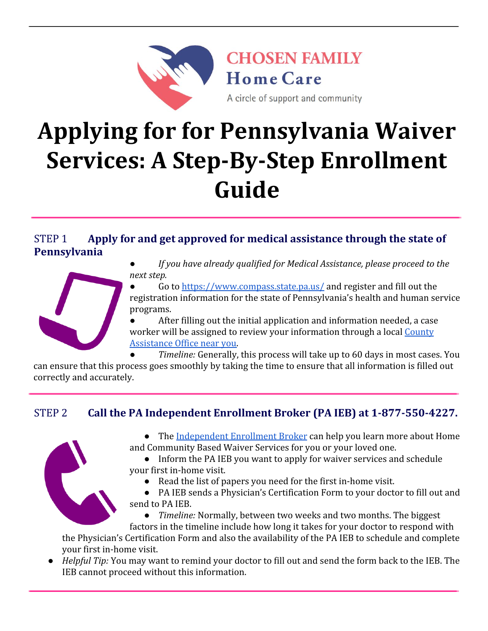

# **Applying for for Pennsylvania Waiver Services: A Step-By-Step Enrollment Guide**

#### STEP 1 **Apply for and get approved for medical assistance through the state of Pennsylvania**



*● If you have already qualified for Medical Assistance, please proceed to the next step.*

Go to<https://www.compass.state.pa.us/> and register and fill out the registration information for the state of Pennsylvania's health and human service programs.

After filling out the initial application and information needed, a case worker will be assigned to review your information through a local [County](https://www.dhs.pa.gov/Services/Assistance/Pages/CAO-Contact.aspx) [Assistance Office near you.](https://www.dhs.pa.gov/Services/Assistance/Pages/CAO-Contact.aspx)

*Timeline:* Generally, this process will take up to 60 days in most cases. You

can ensure that this process goes smoothly by taking the time to ensure that all information is filled out correctly and accurately.

## STEP 2 **Call the PA Independent Enrollment Broker (PA IEB) at 1-877-550-4227.**



- The [Independent Enrollment Broker](https://www.paieb.com/) can help you learn more about Home and Community Based Waiver Services for you or your loved one.
- Inform the PA IEB you want to apply for waiver services and schedule your first in-home visit.
	- Read the list of papers you need for the first in-home visit.
- PA IEB sends a Physician's Certification Form to your doctor to fill out and send to PA IEB.

*Timeline:* Normally, between two weeks and two months. The biggest

factors in the timeline include how long it takes for your doctor to respond with the Physician's Certification Form and also the availability of the PA IEB to schedule and complete your first in-home visit.

● *Helpful Tip:* You may want to remind your doctor to fill out and send the form back to the IEB. The IEB cannot proceed without this information.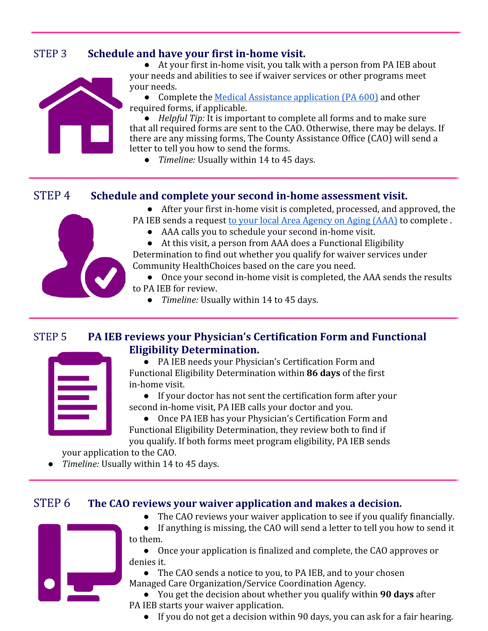## STEP 3 **Schedule and have your first in-home visit.**



● At your first in-home visit, you talk with a person from PA IEB about your needs and abilities to see if waiver services or other programs meet your needs.

• Complete the [Medical Assistance application \(PA 600\)](http://services.dpw.state.pa.us/oimpolicymanuals/ma/PA%20600.pdf) and other required forms, if applicable.

● *Helpful Tip:* It is important to complete all forms and to make sure that all required forms are sent to the CAO. Otherwise, there may be delays. If there are any missing forms, The County Assistance Office (CAO) will send a letter to tell you how to send the forms.

● *Timeline:* Usually within 14 to 45 days.

#### STEP 4 **Schedule and complete your second in-home assessment visit.**

● After your first in-home visit is completed, processed, and approved, the

PA IEB sends a request [to your local Area Agency on Aging \(AAA\)](https://www.aging.pa.gov/local-resources/Pages/AAA.aspx) to complete . ● AAA calls you to schedule your second in-home visit.

● At this visit, a person from AAA does a Functional Eligibility Determination to find out whether you qualify for waiver services under Community HealthChoices based on the care you need.

- Once your second in-home visit is completed, the AAA sends the results
- to PA IEB for review.
	- *Timeline:* Usually within 14 to 45 days.

### STEP 5 **PA IEB reviews your Physician's Certification Form and Functional Eligibility Determination.**



● PA IEB needs your Physician's Certification Form and Functional Eligibility Determination within **86 days** of the first in-home visit.

● If your doctor has not sent the certification form after your second in-home visit, PA IEB calls your doctor and you.

● Once PA IEB has your Physician's Certification Form and Functional Eligibility Determination, they review both to find if you qualify. If both forms meet program eligibility, PA IEB sends

your application to the CAO.

● *Timeline:* Usually within 14 to 45 days.

#### STEP 6 **The CAO reviews your waiver application and makes a decision.**

- 
- The CAO reviews your waiver application to see if you qualify financially. ● If anything is missing, the CAO will send a letter to tell you how to send it to them.

● Once your application is finalized and complete, the CAO approves or denies it.

● The CAO sends a notice to you, to PA IEB, and to your chosen Managed Care Organization/Service Coordination Agency.

● You get the decision about whether you qualify within **90 days** after PA IEB starts your waiver application.

● If you do not get a decision within 90 days, you can ask for a fair hearing.